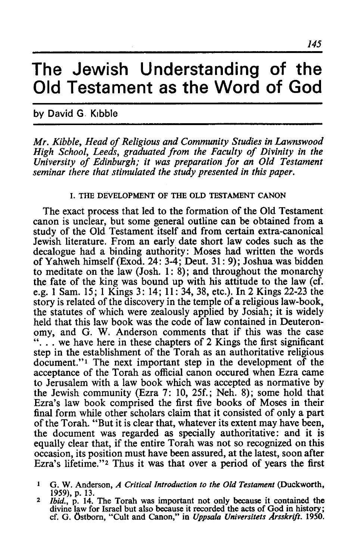# **The Jewish Understanding of the Old Testament as the Word of God**

## by David G. Klbble

*Mr. Kibble, Head of Religious and Community Studies in Lawnswood High School, Leeds, graduated from the Faculty of Divinity in the University of Edinburgh; it was preparation for an Old Testament seminar there that stimulated the study presented in this paper.* 

#### I. THE DEVELOPMENT OF THE OLD TESTAMENT CANON

The exact process that led to the formation of the Old Testament canon is unclear, but some general outline can be obtained from a study of the Old Testament itself and from certain extra-canonical Jewish literature. From an early date short law codes such as the decalogue had a binding authority: Moses had written the words of Yahweh himself (Exod. 24: 3-4; Deut. 31 : 9); Joshua was bidden to meditate on the law (Josh. 1: 8); and throughout the monarchy the fate of the king was bound up with his attitude to the law (cf. e.g. 1 Sam. 15; 1 Kings 3: 14; 11: 34, 38, etc.). In 2 Kings 22-23 the story is related of the discovery in the temple of a religious law-book, the statutes of which were zealously applied by Josiah; it is widely held that this law book was the code of law contained in Deuteronomy, and G. W. Anderson comments that if this was the case  $\ldots$  we have here in these chapters of 2 Kings the first significant step in the establishment of the Torah as an authoritative religious document."<sup>1</sup> The next important step in the development of the acceptance of the Torah as official canon occured when Ezra came to Jerusalem with a law book which was accepted as normative by the Jewish community (Ezra 7: 10, 25f.; Neh. 8); some hold that Ezra's law book comprised the first five books of Moses in their final form while other scholars claim that it consisted of only a part of the Torah. "But it is clear that, whatever its extent may have been, the document was regarded as specially authoritative: and it is equally clear that, if the entire Torah was not so recognized on this occasion, its position must have been assured, at the latest, soon after Ezra's lifetime."2 Thus it was that over a period of years the first

<sup>&</sup>lt;sup>1</sup> G. W. Anderson, *A Critical Introduction to the Old Testament* (Duckworth, 1959), p. 13.

<sup>1959),</sup> p. 13. *2 Ibid.,* p. 14. The Torah was important not only because it contained the divine law for Israel but also because it recorded the acts of God in history; cf. G. Ostborn, "Cult and Canon," in *Uppsala Universitets Arsskri/t. 1950.*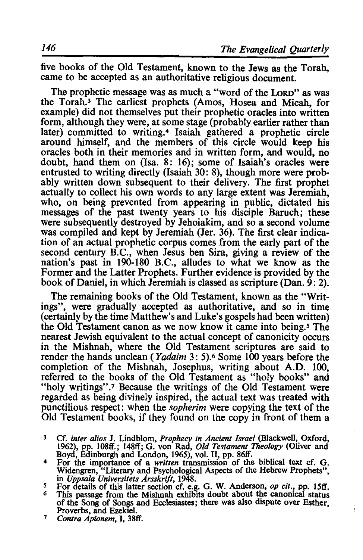five books of the Old Testament, known to the Jews as the Torah, came to be accepted as an authoritative religious document.

The prophetic message was as much a "word of the LoRD" as was the Torah.3 The earliest prophets (Amos, Hosea and Micah, for example) did not themselves put their prophetic oracles into written form, although they were, at some stage (probably earlier rather than later) committed to writing.4 Isaiah gathered a prophetic circle around himself, and the members of this circle would keep his oracles both in their memories and in written form, and would, no doubt, hand them on (Isa. 8: 16); some of Isaiah's oracles were entrusted to writing directly (Isaiah 30: 8), though more were probably written down subsequent to their delivery. The first prophet actually to collect his own words to any large extent was Jeremiah, who, on being prevented from appearing in public, dictated his messages of the past twenty years to his disciple Baruch; these were subsequently destroyed by Jehoiakim, and so a second volume was compiled and kept by Jeremiah (Jer. 36). The first clear indication of an actual prophetic corpus comes from the early part of the second century B.C., when Jesus ben Sira, giving a review of the nation's past in 190-180 B.C., alludes to what we know as the Former and the Latter Prophets. Further evidence is provided by the book of Daniel, in which Jeremiah is classed as scripture (Dan.  $9:2$ ).

The remaining books of the Old Testament, known as the "Writings", were gradually accepted as authoritative, and so in time (certainly by the time Matthew's and Luke's gospels had been written) the Old Testament canon as we now know it came into being.<sup>5</sup> The nearest Jewish equivalent to the actual concept of canonicity occurs in the Mishnah, where the Old Testament scriptures are said to render the hands unclean *(Yadaim 3: 5)*.<sup>6</sup> Some 100 years before the completion of the Mishnah, Josephus, writing about A.D. 100, referred to the books of the Old Testament as "holy books" and "holy writings".<sup>7</sup> Because the writings of the Old Testament were regarded as being divinely inspired, the actual text was treated with punctilious respect: when the *sopherim* were copying the text of the Old Testament books, if they found on the copy in front of them a

- 3 Cf. *inter alios* J. Lindblom, *Prophecy in Ancient Israel* (Blackwell, Oxford, 1962), pp. 108ff.; 148ff; G. von Rad, *Old Testament Theology* (Oliver and
- For the importance of a *written* transmission of the biblical text cf. G. Widengren, "Literary and Psychological Aspects of the Hebrew Prophets", in Uppsala Universitets Arsskrift, 1948. in *Uppsala Universitets Arsskrift*, 1948.<br><sup>5</sup> For details of this latter section cf. e.g. G. W. Anderson, *op cit.*, pp. 15ff.<br><sup>6</sup> This passage from the Mishnah exhibits doubt about the canonical status
- 
- of the Song of Songs and Ecclesiastes; there was also dispute over Esther,
- <sup>7</sup> Contra Apionem, I, 38ff.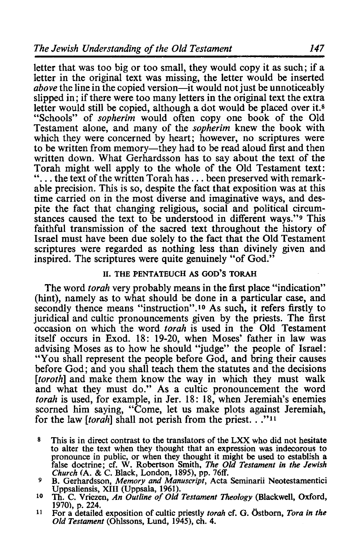letter that was too big or too small, they would copy it as such; if a letter in the original text was missing, the letter would be inserted *above* the line in the copied version—it would not just be unnoticeably slipped in; if there were too many letters in the original text the extra letter would still be copied, although a dot would be placed over it.<sup>8</sup> "Schools" of *sopherim* would often copy one book of the Old Testament alone, and many of the *sopherim* knew the book with which they were concerned by heart; however, no scriptures were to be written from memory—they had to be read aloud first and then written down. What Gerhardsson has to say about the text of the Torah might well apply to the whole of the Old Testament text:  $\ldots$  the text of the written Torah has  $\ldots$  been preserved with remarkable precision. This is so, despite the fact that exposition was at this time carried on in the most diverse and imaginative ways, and despite the fact that changing religious, social and political circumstances caused the text to be understood in different ways."9 This faithful transmission of the sacred text throughout the history of Israel must have been due solely to the fact that the Old Testament scriptures were regarded as nothing less than divinely given and inspired. The scriptures were quite genuinely "of God."

#### 11. THE PENTATEUCH AS GOD'S TORAH

The word *torah* very probably means in the first place "indication" (hint), namely as to what should be done in a particular case, and secondly thence means "instruction".<sup>10</sup> As such, it refers firstly to juridical and cultic pronouncements given by the priests. The first occasion on which the word *torah* is used in the Old Testament itself occurs in Exod. 18: 19-20, when Moses' father in law was advising Moses as to how he should "judge" the people of Israel: "You shall represent the people before God, and bring their causes before God; and you shall teach them the statutes and the decisions *[toroth]* and make them know the way in which they must walk and what they must do." As a cultic pronouncement the word *torah* is used, for example, in Jer. 18: 18, when Jeremiah's enemies scorned him saying, "Come, let us make plots against Jeremiah, for the law *[torah]* shall not perish from the priest. .<sup>"11</sup>

- 8 This is in direct contrast to the translators of the LXX who did not hesitate to alter the text when they thought that an expression was indecorous to pronounce in public, or when they thought it might be used to establlsh a false doctrine; cf. W. Robertson Smith, *The Old Testament in the Jewish*
- <sup>9</sup> B. Gerhardsson, *Memory and Manuscript*, Acta Seminarii Neotestamentici Uppsaliensis, XIII (Uppsala, 1961).
- <sup>10</sup> Th. C. Vriezen, *An Outline of Old Testament Theology* (Blackwell, Oxford, 1970), p. 224.
- 1970), p. 224. 11 For a detailed exposition of cultic priestly *torah* cf. G. Ostborn, *Tora in the Old Testament* (Ohlssons, Lund, 1945), ch. 4.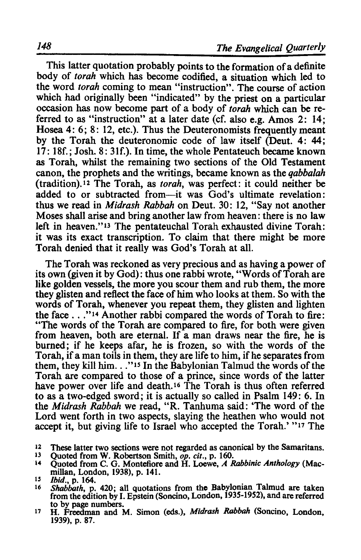This latter quotation probably points to the formation of a definite body of *torah* which has become codified, a situation which led to the word *torah* coming to mean "instruction". The course of action which had originally been "indicated" by the priest on a particular occasion has now become part of a body of *torah* which can be referred to as "instruction" at a later date (cf. also e.g. Amos 2: 14; Hosea 4: 6: 8: 12, etc.). Thus the Deuteronomists frequently meant by the Torah the deuteronomic code of law itself (Deut. 4: 44; 17: 18f.; Josh. 8: 3lf.). In time, the whole Pentateuch became known as Torah, whilst the remaining two sections of the Old Testament canon, the prophets and the writings, became known as the *qabbalah*  (tradition).12 The Torah, as *torah,* was perfect: it could neither be added to or subtracted from-it was God's ultimate revelation: thus we read in *Midrash Rabbah* on Deut. 30: 12, "Say not another Moses shall arise and bring another law from heaven: there is no law left in heaven."13 The pentateuchal Torah exhausted divine Torah: it was its exact transcription. To claim that there might be more Torah denied that it really was God's Torah at all.

The Torah was reckoned as very precious and as having a power of its own (given it by God): thus one rabbi wrote, "Words of Torah are like golden vessels, the more you scour them and rub them, the more they glisten and reflect the face of him who looks at them. So with the words of Torah, whenever you repeat them, they glisten and lighten the face ... "14 Another rabbi compared the words of Torah to fire: "The words of the Torah are compared to fire, for both were given from heaven, both are eternal. If a man draws near the fire, he is burned; if he keeps afar, he is frozen, so with the words of the Torah, if a man toils in them, they are life to him, if he separates from them, they kill him..."<sup>15</sup> In the Babylonian Talmud the words of the Torah are compared to those of a prince, since words of the latter have power over life and death.<sup>16</sup> The Torah is thus often referred to as a two-edged sword; it is actually so called in Psalm 149: 6. In the *Midrash Rabbah* we read, "R. Tanhuma said: 'The word of the Lord went forth in two aspects, slaying the heathen who would not accept it, but giving life to Israel who accepted the Torah.' "17 The

- <sup>12</sup> These latter two sections were not regarded as canonical by the Samaritans.<br><sup>13</sup> Ouoted from W. Robertson Smith *on cit* n. 160.
- 
- <sup>13</sup> Quoted from W. Robertson Smith, *op. cit.*, p. 160.<br><sup>14</sup> Quoted from C. G. Montefiore and H. Loewe, *A Rabbinic Anthology* (Macmillan, London, 1938), p. 141.<br>
<sup>15</sup> *Ibid.*, p. 164.<br>
<sup>16</sup> Shabbath p. 420; all quotatic
- <sup>16</sup>*Shabbath,* p. 420; all quotations from the Babylonian Talmud are taken from the edition by I. Epstein (Soncino, London, 1935-1952), and are referred to by page numbers.
- 17 H. Freedman and M. Simon (eds.), *Midrash Rabbah* (Soncino, London, 1939), p. 87.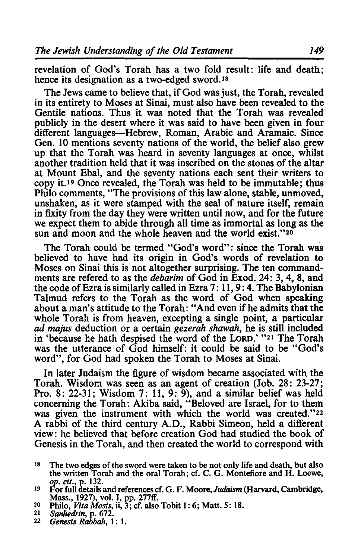revelation of God's Torah has a two fold result: life and death; hence its designation as a two-edged sword. <sup>18</sup>

The Jews came to believe that, if God was just, the Torah, revealed in its entirety to Moses at Sinai, must also have been revealed to the Gentile nations. Thus it was noted that the Torah was revealed publicly in the desert where it was said to have been given in four different languages-Hebrew, Roman, Arabic and Aramaic. Since Gen. 10 mentions seventy nations of the world, the belief also grew up that the Torah was heard in seventy languages at once, whilst another tradition held that it was inscribed on the stones of the altar at Mount Ebal, and the seventy nations each sent their writers to copy it.19 Once revealed, the Torah was held to be immutable; thus Philo comments, "The provisions of this law alone, stable, unmoved, unshaken, as it were stamped with the seal of nature itself, remain in fixity from the day they were written until now, and for the future we expect them to abide through all time as immortal as long as the sun and moon and the whole heaven and the world exist."20

The Torah could be termed "God's word"; since the Torah was believed to have had its origin in God's words of revelation to Moses on Sinai this is not altogether surprising. The ten commandments are refered to as the *debarim* of God in Exod. 24: 3, 4, 8, and the code of Ezra is similarly called in Ezra 7: 11, 9: 4. The Babylonian Talmud refers to the Torah as the word of God when speaking about a man's attitude to the Torah: "And even if he admits that the whole Torah is from heaven, excepting a single point, a particular *ad majus* deduction or a certain *gezerah shawah,* he is still included in 'because he hath despised the word of the LoRD.' "21 The Torah was the utterance of God himself: it could be said to be "God's word", for God had spoken the Torah to Moses at Sinai.

In later Judaism the figure of wisdom became associated with the Torah. Wisdom was seen as an agent of creation (Job. 28: 23-27; Pro. 8: 22-31; Wisdom 7: 11, 9: 9), and a similar belief was held concerning the Torah: Akiba said, "Beloved are Israel, for to them was given the instrument with which the world was created."22 A rabbi of the third century A.D., Rabbi Simeon, held a different view: he believed that before creation God had studied the book of Genesis in the Torah, and then created the world to correspond with

- 18 The two edges of the sword were taken to be not only life and death, but also the written Torah and the oral Torah; cf. C. G. Montefiore and H. Loewe, op. cif., p. 132.
- 19 For full details and references cf. G. F. Moore,Judaism (Harvard, Cambridge, Mass., 1927), vol. I, pp. 277ff.
- 20 Philo, *Vita Mosis,* ii, 3; cf. also Tobit 1: 6; Matt. 5: 18. *21 Sanhedrin,* p. 672. *22 Genesis* Rabbah, 1: 1.
- 
-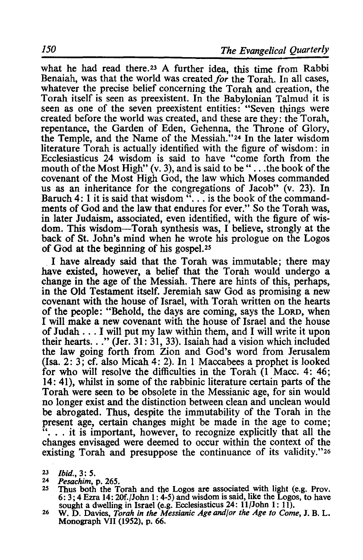what he had read there.<sup>23</sup> A further idea, this time from Rabbi Benaiah, was that the world was created *for* the Torah. In all cases, whatever the precise belief concerning the Torah and creation, the Torah itself is seen as preexistent. In the Babylonian Talmud it is seen as one of the seven preexistent entities: "Seven things were created before the world was created, and these are they: the Torah, repentance, the Garden of Eden, Gehenna, the Throne of Glory, the Temple, and the Name of the Messiah."24 In the later wisdom literature Torah is actually identified with the figure of wisdom: in Ecclesiasticus 24 wisdom is said to have "come forth from the mouth of the Most High"  $(v, 3)$ , and is said to be "... the book of the covenant of the Most High God, the law which Moses commanded us as an inheritance for the congregations of Jacob" (v. 23). In Baruch 4: 1 it is said that wisdom  $\cdot\cdot\cdot$ , is the book of the commandments of God and the law that endures for ever." So the Torah was, in later Judaism, associated, even identified, with the figure of wisdom. This wisdom-Torah synthesis was, I believe, strongly at the back of St. John's mind when he wrote his prologue on the Logos of God at the beginning of his gospe1.25

I have already said that the Torah was immutable; there may have existed, however, a belief that the Torah would undergo a change in the age of the Messiah. There are hints of this, perhaps, in the Old Testament itself. Jeremiah saw God as promising a new covenant with the house of Israel, with Torah written on the hearts of the people: "Behold, the days are coming, says the LORD, when I will make a new covenant with the house of Israel and the house of Judah ... I will put my law within them, and I will write it upon their hearts. . ." (Jer. 31: 31, 33). Isaiah had a vision which included the law going forth from Zion and God's word from Jerusalem (Isa. 2: 3; cf. also Micah 4: 2). In 1 Maccabees a prophet is looked for who will resolve the difficulties in the Torah (1 Macc. 4: 46; 14: 41), whilst in some of the rabbinic literature certain parts of the Torah were seen to be obsolete in the Messianic age, for sin would no longer exist and the distinction between clean and unclean would be abrogated. Thus, despite the immutability of the Torah in the present age, certain changes might be made in the age to come; "... it is important, however, to recognize explicitly that all the changes envisaged were deemed to occur within the context of the existing Torah and presuppose the continuance of its validity."26

- *23 Ibid.,* 3: 5.
- <sup>24</sup>*Pesachim,* p. 265.
- Thus both the Torah and the Logos are associated with light (e.g. Prov. 6: 3; 4 Ezra 14: 20f./John 1: 4-5) and wisdom is said, like the Logos, to have sought a dwelling in Israel (e.g. Ecclesiasticus  $24: 11$ /John 1: 11).
- 26 W. D. Davies, *Torah in the Messianic Age and/or the Age to Come*, J. B. L. Monograph VII (1952), p. 66.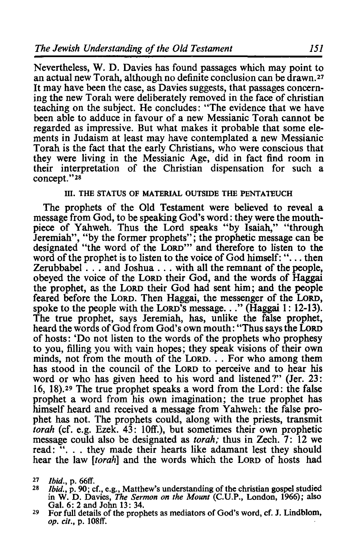Nevertheless, W. D. Davies has found passages which may point to an actual new Torah, although no definite conclusion can be drawn.27 It may have been the case, as Davies suggests, that passages concerning the new Torah were deliberately removed in the face of christian teaching on the subject. He concludes: "The evidence that we have been able to adduce in favour of a new Messianic Torah cannot be regarded as impressive. But what makes it probable that some elements in Judaism at least may have contemplated a new Messianic Torah is the fact that the early Christians, who were conscious that they were living in the Messianic Age, did in fact find room in their interpretation of the Christian dispensation for such a concept."28

#### Ill. THE STATUS OF MATERIAL OUTSIDE THE PENTATEUCH

The prophets of the Old Testament were believed to reveal a message from God, to be speaking God's word: they were the mouthpiece of Yahweh. Thus the Lord speaks "by Isaiah," "through Jeremiah", "by the former prophets"; the prophetic message can be designated "the word of the LoRD'" and therefore to listen to the word of the prophet is to listen to the voice of God himself: " $\dots$  then Zerubbabel ... and Joshua ... with all the remnant of the people, obeyed the voice of the LORD their God, and the words of Haggai the prophet, as the LoRD their God had sent him; and the people feared before the LORD. Then Haggai, the messenger of the LoRD, spoke to the people with the Lord's message..." (Haggai 1: 12-13). The true prophet, says Jeremiah, has, unlike the false prophet, heard the words of God from God's own mouth: "Thus says the LoRD of hosts: 'Do not listen to the words of the prophets who prophesy to you, filling you with vain hopes; they speak visions of their own minds, not from the mouth of the Lorp. . . For who among them has stood in the council of the LoRD to perceive and to hear his word or who has given heed to his word and listened?" (Jer. 23: 16, 18).29 The true prophet speaks a word from the Lord: the false prophet a word from his own imagination; the true prophet has himself heard and received a message from Yahweh: the false prophet has not. The prophets could, along with the priests, transmit *torah* (cf. e.g. Ezek. 43: 10ff.), but sometimes their own prophetic message could also be designated as *torah;* thus in Zech. 7: 12 we read: ". . . they made their hearts like adamant lest they should hear the law *[torah]* and the words which the LoRD of hosts had

- <sup>27</sup> *Ibid.*, p. 66ff.<br><sup>28</sup> *Ibid.*, p. 90; cf., e.g., Matthew's understanding of the christian gospel studied in W. D. Davies, *The Sermon on the Mount* (C.U.P., London, 1966); also Gal. 6: 2 and John 13: 34.
- 29 For full details of the prophets as mediators of God's word, cf. J. Lindblom, op. *cit.*, p. 108ff.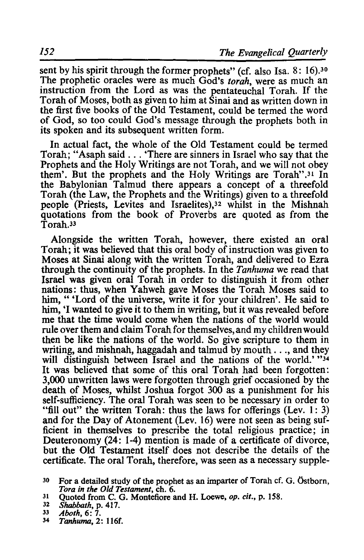sent by his spirit through the former prophets" (cf. also Isa. 8: 16).<sup>30</sup> The prophetic oracles were as much God's *torah,* were as much an instruction from the Lord as was the pentateuchal Torah. If the Torah of Moses, both as given to him at Sinai and as written down in the first five books of the Old Testament, could be termed the word of God, so too could God's message through the prophets both in its spoken and its subsequent written form.

In actual fact, the whole of the Old Testament could be termed Torah; "Asaph said ... 'There are sinners in Israel who say that the Prophets and the Holy Writings are not Torah, and we will not obey them'. But the prophets and the Holy Writings are Torah".<sup>31</sup> In the Babylonian Talmud there appears a concept of a threefold Torah (the Law, the Prophets and the Writings) given to a threefold people (Priests, Levites and Israelites),32 whilst in the Mishnah quotations from the book of Proverbs are quoted as from the Torah<sup>33</sup>

Alongside the written Torah, however, there existed an oral Torah; it was believed that this oral body of instruction was given to Moses at Sinai along with the written Torah, and delivered to Ezra through the continuity of the prophets. In the *Tanhuma* we read that Israel was given oral Torah in order to distinguish it from other nations: thus, when Yahweh gave Moses the Torah Moses said to him, " 'Lord of the universe, write it for your children'. He said to him, 'I wanted to give it to them in writing, but it was revealed before me that the time would come when the nations of the world would rule over them and claim Torah for themselves, and my children would then be like the nations of the world. So give scripture to them in writing, and mishnah, haggadah and talmud by mouth ... , and they will distinguish between Israel and the nations of the world.' "34 It was believed that some of this oral Torah had been forgotten: 3,000 unwritten laws were forgotten through grief occasioned by the death of Moses, whilst Joshua forgot 300 as a punishment for his self-sufficiency. The oral Torah was seen to be necessary in order to "fill out" the written Torah: thus the laws for offerings (Lev. 1: 3) and for the Day of Atonement (Lev. 16) were not seen as being sufficient in themselves to prescribe the total religious practice; in Deuteronomy (24: 1-4) mention is made of a certificate of divorce, but the Old Testament itself does not describe the details of the certificate. The oral Torah, therefore, was seen as a necessary supple-

<sup>30</sup> For a detailed study of the prophet as an imparter of Torah cf. G. 6stborn, *Tora in the Old Testament,* ch. 6.

<sup>31</sup> Quoted from C. G. Montefiore and H. Loewe, op. *cit.,* p. 158. *32 Shabbath,* p. 417. *33 Aboth,* 6: 7. *34 Tanhuma,* 2: 116f.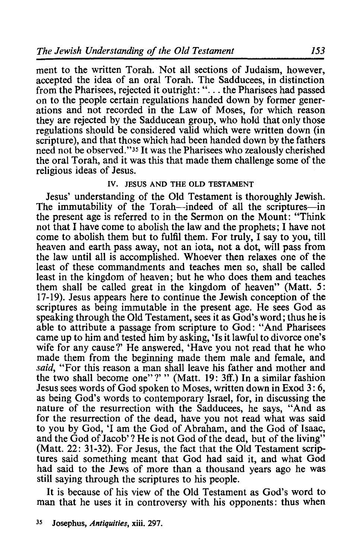ment to the written Torah. Not all sections of Judaism, however, accepted the idea of an oral Torah. The Sadducees, in distinction from the Pharisees, rejected it outright: "... the Pharisees had passed on to the people certain regulations handed down by former generations and not recorded in the Law of Moses, for which reason they are rejected by the Sadducean group, who hold that only those regulations should be considered valid which were written down (in scripture), and that those which had been handed down by the fathers need not be observed."35 It was the Pharisees who zealously cherished the oral Torah, and it was this that made them challenge some of the religious ideas of Jesus.

### IV. JESUS AND THE OLD TESTAMENT

Jesus' understanding of the Old Testament is thoroughly Jewish. The immutability of the Torah-indeed of all the scriptures-in the present age is referred to in the Sermon on the Mount: "Think not that I have come to abolish the law and the prophets; I have not come to abolish them but to fulfil them. For truly, I say to you, till heaven and earth pass away, not an iota, not a dot, will pass from the law until all is accomplished. Whoever then relaxes one of the least of these commandments and teaches men so, shall be called least in the kingdom of heaven; but he who does them and teaches them shall be called great in the kingdom of heaven" (Matt. 5: 17-19). Jesus appears here to continue the Jewish conception of the scriptures as being immutable in the present age. He sees God as speaking through the Old Testament, sees it as God's word; thus he is able to attribute a passage from scripture to God: "And Pharisees came up to him and tested him by asking, 'Is it lawful to divorce one's wife for any cause?' He answered, 'Have you not read that he who made them from the beginning made them male and female, and *said,* "For this reason a man shall leave his father and mother and the two shall become one"?' " (Matt. 19: 3ff.) In a similar fashion Jesus sees words of God spoken to Moses, written down in Exod 3: 6, as being God's words to contemporary Israel, for, in discussing the nature of the resurrection with the Sadducees, he says, "And as for the resurrection of the dead, have you not read what was said to you by God, 'I am the God of Abraham, and the God of Isaac, and the God of Jacob'? He is not God of the dead, but of the living" (Matt. 22: 31-32). For Jesus, the fact that the Old Testament scriptures said something meant that God had said it, and what God had said to the Jews of more than a thousand years ago he was still saying through the scriptures to his people.

It is because of his view of the Old Testament as God's word to man that he uses it in controversy with his opponents: thus when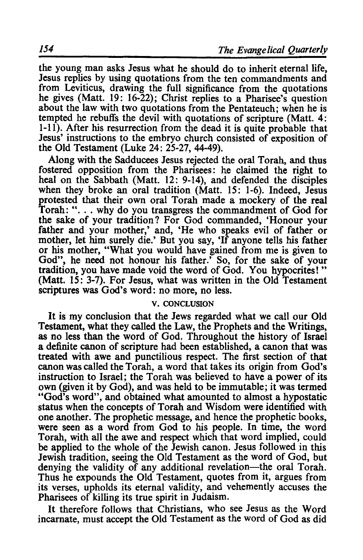the young man asks Jesus what he should do to inherit eternal life, Jesus replies by using quotations from the ten commandments and from Leviticus, drawing the full significance from the quotations he gives (Matt. 19: 16-22); Christ replies to a Pharisee's question about the law with two quotations from the Pentateuch; when he is tempted he rebuffs the devil with quotations of scripture (Matt. 4: 1-11). After his resurrection from the dead it is quite probable that Jesus' instructions to the embryo church consisted of exposition of the Old Testament (Luke 24: 25-27, 44-49).

Along with the Sadducees Jesus rejected the oral Torah, and thus fostered opposition from the Pharisees: he claimed the right to heal on the Sabbath (Matt. 12: 9-14), and defended the disciples when they broke an oral tradition (Matt. 15: 1-6). Indeed, Jesus protested that their own oral Torah made a mockery of the real Torah: "... why do you transgress the commandment of God for the sake of your tradition? For God commanded, 'Honour your father and your mother,' and, 'He who speaks evil of father or mother, let him surely die.' But you say, 'If anyone tells his father or his mother, "What you would have gained from me is given to God", he need not honour his father.' So, for the sake of your tradition, you have made void the word of God. You hypocrites! " (Matt. 15: 3-7). For Jesus, what was written in the Old Testament scriptures was God's word: no more, no less.

#### v. CONCLUSION

It is my conclusion that the Jews regarded what we call our Old Testament, what they called the Law, the Prophets and the Writings, as no less than the word of God. Throughout the history of Israel a definite canon of scripture had been established, a canon that was treated with awe and punctilious respect. The first section of that canon was called the Torah, a word that takes its origin from God's instruction to Israel; the Torah was believed to have a power of its own (given it by God), and was held to be immutable; it was termed "God's word", and obtained what amounted to almost a hypostatic status when the concepts of Torah and Wisdom were identified with one another. The prophetic message, and hence the prophetic books, were seen as a word from God to his people. In time, the word Torah, with all the awe and respect which that word implied, could be applied to the whole of the Jewish canon. Jesus followed in this Jewish tradition, seeing the Old Testament as the word of God, but denying the validity of any additional revelation—the oral Torah. Thus he expounds the Old Testament, quotes from it, argues from its verses, upholds its eternal validity, and vehemently accuses the Pharisees of killing its true spirit in Judaism.

It therefore follows that Christians, who see Jesus as the Word incarnate, must accept the Old Testament as the word of God as did